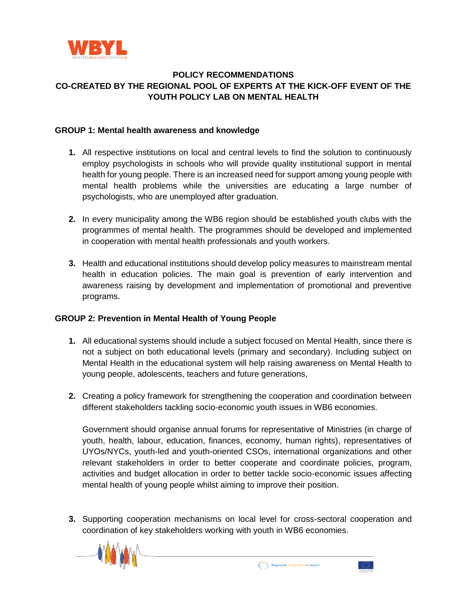

## **POLICY RECOMMENDATIONS CO-CREATED BY THE REGIONAL POOL OF EXPERTS AT THE KICK-OFF EVENT OF THE YOUTH POLICY LAB ON MENTAL HEALTH**

## **GROUP 1: Mental health awareness and knowledge**

- **1.** All respective institutions on local and central levels to find the solution to continuously employ psychologists in schools who will provide quality institutional support in mental health for young people. There is an increased need for support among young people with mental health problems while the universities are educating a large number of psychologists, who are unemployed after graduation.
- **2.** In every municipality among the WB6 region should be established youth clubs with the programmes of mental health. The programmes should be developed and implemented in cooperation with mental health professionals and youth workers.
- **3.** Health and educational institutions should develop policy measures to mainstream mental health in education policies. The main goal is prevention of early intervention and awareness raising by development and implementation of promotional and preventive programs.

## **GROUP 2: Prevention in Mental Health of Young People**

- **1.** All educational systems should include a subject focused on Mental Health, since there is not a subject on both educational levels (primary and secondary). Including subject on Mental Health in the educational system will help raising awareness on Mental Health to young people, adolescents, teachers and future generations,
- **2.** Creating a policy framework for strengthening the cooperation and coordination between different stakeholders tackling socio-economic youth issues in WB6 economies.

Government should organise annual forums for representative of Ministries (in charge of youth, health, labour, education, finances, economy, human rights), representatives of UYOs/NYCs, youth-led and youth-oriented CSOs, international organizations and other relevant stakeholders in order to better cooperate and coordinate policies, program, activities and budget allocation in order to better tackle socio-economic issues affecting mental health of young people whilst aiming to improve their position.

**3.** Supporting cooperation mechanisms on local level for cross-sectoral cooperation and coordination of key stakeholders working with youth in WB6 economies.





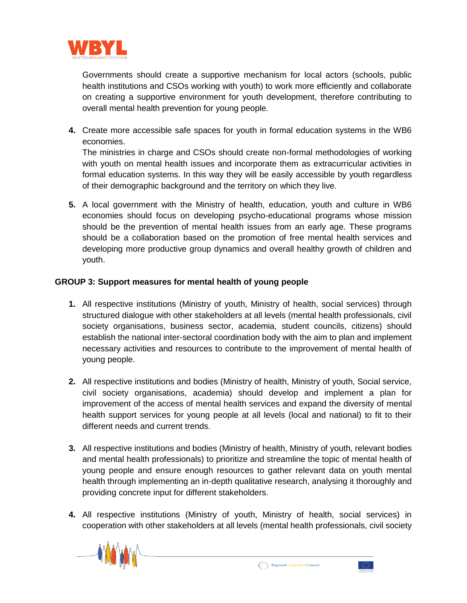

Governments should create a supportive mechanism for local actors (schools, public health institutions and CSOs working with youth) to work more efficiently and collaborate on creating a supportive environment for youth development, therefore contributing to overall mental health prevention for young people.

**4.** Create more accessible safe spaces for youth in formal education systems in the WB6 economies.

The ministries in charge and CSOs should create non-formal methodologies of working with youth on mental health issues and incorporate them as extracurricular activities in formal education systems. In this way they will be easily accessible by youth regardless of their demographic background and the territory on which they live.

**5.** A local government with the Ministry of health, education, youth and culture in WB6 economies should focus on developing psycho-educational programs whose mission should be the prevention of mental health issues from an early age. These programs should be a collaboration based on the promotion of free mental health services and developing more productive group dynamics and overall healthy growth of children and youth.

## **GROUP 3: Support measures for mental health of young people**

- **1.** All respective institutions (Ministry of youth, Ministry of health, social services) through structured dialogue with other stakeholders at all levels (mental health professionals, civil society organisations, business sector, academia, student councils, citizens) should establish the national inter-sectoral coordination body with the aim to plan and implement necessary activities and resources to contribute to the improvement of mental health of young people.
- **2.** All respective institutions and bodies (Ministry of health, Ministry of youth, Social service, civil society organisations, academia) should develop and implement a plan for improvement of the access of mental health services and expand the diversity of mental health support services for young people at all levels (local and national) to fit to their different needs and current trends.
- **3.** All respective institutions and bodies (Ministry of health, Ministry of youth, relevant bodies and mental health professionals) to prioritize and streamline the topic of mental health of young people and ensure enough resources to gather relevant data on youth mental health through implementing an in-depth qualitative research, analysing it thoroughly and providing concrete input for different stakeholders.
- **4.** All respective institutions (Ministry of youth, Ministry of health, social services) in cooperation with other stakeholders at all levels (mental health professionals, civil society